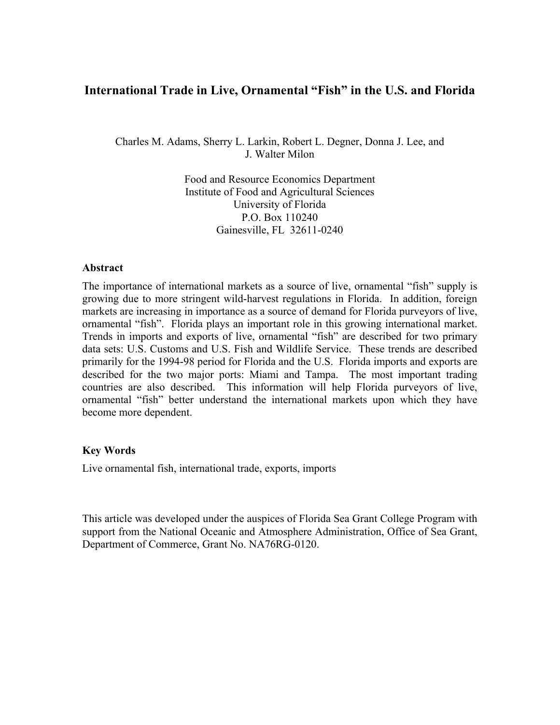# **International Trade in Live, Ornamental "Fish" in the U.S. and Florida**

Charles M. Adams, Sherry L. Larkin, Robert L. Degner, Donna J. Lee, and J. Walter Milon

> Food and Resource Economics Department Institute of Food and Agricultural Sciences University of Florida P.O. Box 110240 Gainesville, FL 32611-0240

#### **Abstract**

The importance of international markets as a source of live, ornamental "fish" supply is growing due to more stringent wild-harvest regulations in Florida. In addition, foreign markets are increasing in importance as a source of demand for Florida purveyors of live, ornamental "fish". Florida plays an important role in this growing international market. Trends in imports and exports of live, ornamental "fish" are described for two primary data sets: U.S. Customs and U.S. Fish and Wildlife Service. These trends are described primarily for the 1994-98 period for Florida and the U.S. Florida imports and exports are described for the two major ports: Miami and Tampa. The most important trading countries are also described. This information will help Florida purveyors of live, ornamental "fish" better understand the international markets upon which they have become more dependent.

#### **Key Words**

Live ornamental fish, international trade, exports, imports

This article was developed under the auspices of Florida Sea Grant College Program with support from the National Oceanic and Atmosphere Administration, Office of Sea Grant, Department of Commerce, Grant No. NA76RG-0120.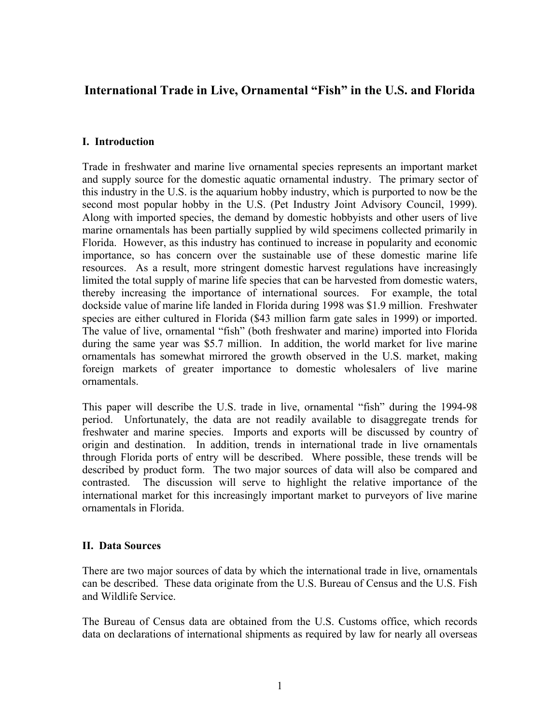# **International Trade in Live, Ornamental "Fish" in the U.S. and Florida**

## **I. Introduction**

Trade in freshwater and marine live ornamental species represents an important market and supply source for the domestic aquatic ornamental industry. The primary sector of this industry in the U.S. is the aquarium hobby industry, which is purported to now be the second most popular hobby in the U.S. (Pet Industry Joint Advisory Council, 1999). Along with imported species, the demand by domestic hobbyists and other users of live marine ornamentals has been partially supplied by wild specimens collected primarily in Florida. However, as this industry has continued to increase in popularity and economic importance, so has concern over the sustainable use of these domestic marine life resources. As a result, more stringent domestic harvest regulations have increasingly limited the total supply of marine life species that can be harvested from domestic waters, thereby increasing the importance of international sources. For example, the total dockside value of marine life landed in Florida during 1998 was \$1.9 million. Freshwater species are either cultured in Florida (\$43 million farm gate sales in 1999) or imported. The value of live, ornamental "fish" (both freshwater and marine) imported into Florida during the same year was \$5.7 million. In addition, the world market for live marine ornamentals has somewhat mirrored the growth observed in the U.S. market, making foreign markets of greater importance to domestic wholesalers of live marine ornamentals.

This paper will describe the U.S. trade in live, ornamental "fish" during the 1994-98 period. Unfortunately, the data are not readily available to disaggregate trends for freshwater and marine species. Imports and exports will be discussed by country of origin and destination. In addition, trends in international trade in live ornamentals through Florida ports of entry will be described. Where possible, these trends will be described by product form. The two major sources of data will also be compared and contrasted. The discussion will serve to highlight the relative importance of the international market for this increasingly important market to purveyors of live marine ornamentals in Florida.

## **II. Data Sources**

There are two major sources of data by which the international trade in live, ornamentals can be described. These data originate from the U.S. Bureau of Census and the U.S. Fish and Wildlife Service.

The Bureau of Census data are obtained from the U.S. Customs office, which records data on declarations of international shipments as required by law for nearly all overseas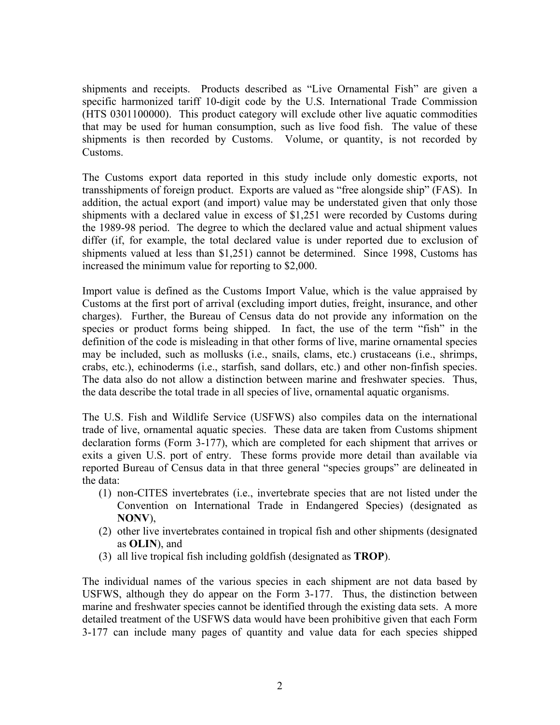shipments and receipts. Products described as "Live Ornamental Fish" are given a specific harmonized tariff 10-digit code by the U.S. International Trade Commission (HTS 0301100000). This product category will exclude other live aquatic commodities that may be used for human consumption, such as live food fish. The value of these shipments is then recorded by Customs. Volume, or quantity, is not recorded by Customs.

The Customs export data reported in this study include only domestic exports, not transshipments of foreign product. Exports are valued as "free alongside ship" (FAS). In addition, the actual export (and import) value may be understated given that only those shipments with a declared value in excess of \$1,251 were recorded by Customs during the 1989-98 period. The degree to which the declared value and actual shipment values differ (if, for example, the total declared value is under reported due to exclusion of shipments valued at less than \$1,251) cannot be determined. Since 1998, Customs has increased the minimum value for reporting to \$2,000.

Import value is defined as the Customs Import Value, which is the value appraised by Customs at the first port of arrival (excluding import duties, freight, insurance, and other charges). Further, the Bureau of Census data do not provide any information on the species or product forms being shipped. In fact, the use of the term "fish" in the definition of the code is misleading in that other forms of live, marine ornamental species may be included, such as mollusks (i.e., snails, clams, etc.) crustaceans (i.e., shrimps, crabs, etc.), echinoderms (i.e., starfish, sand dollars, etc.) and other non-finfish species. The data also do not allow a distinction between marine and freshwater species. Thus, the data describe the total trade in all species of live, ornamental aquatic organisms.

The U.S. Fish and Wildlife Service (USFWS) also compiles data on the international trade of live, ornamental aquatic species. These data are taken from Customs shipment declaration forms (Form 3-177), which are completed for each shipment that arrives or exits a given U.S. port of entry. These forms provide more detail than available via reported Bureau of Census data in that three general "species groups" are delineated in the data:

- (1) non-CITES invertebrates (i.e., invertebrate species that are not listed under the Convention on International Trade in Endangered Species) (designated as **NONV**),
- (2) other live invertebrates contained in tropical fish and other shipments (designated as **OLIN**), and
- (3) all live tropical fish including goldfish (designated as **TROP**).

The individual names of the various species in each shipment are not data based by USFWS, although they do appear on the Form 3-177. Thus, the distinction between marine and freshwater species cannot be identified through the existing data sets. A more detailed treatment of the USFWS data would have been prohibitive given that each Form 3-177 can include many pages of quantity and value data for each species shipped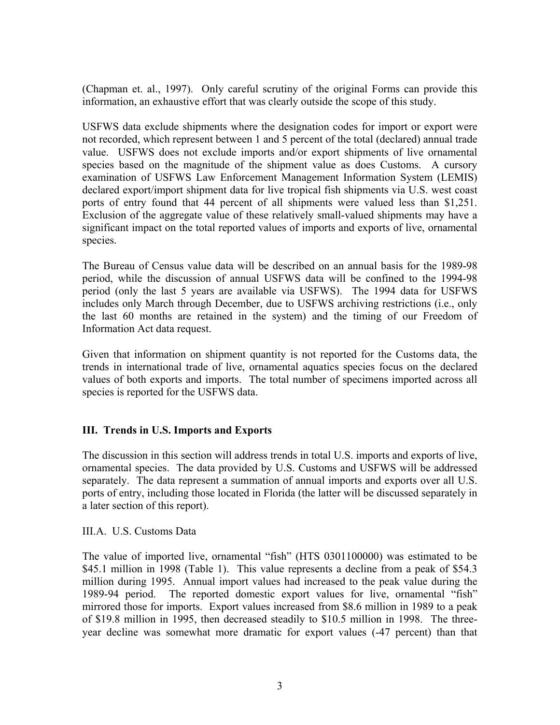(Chapman et. al., 1997). Only careful scrutiny of the original Forms can provide this information, an exhaustive effort that was clearly outside the scope of this study.

USFWS data exclude shipments where the designation codes for import or export were not recorded, which represent between 1 and 5 percent of the total (declared) annual trade value. USFWS does not exclude imports and/or export shipments of live ornamental species based on the magnitude of the shipment value as does Customs. A cursory examination of USFWS Law Enforcement Management Information System (LEMIS) declared export/import shipment data for live tropical fish shipments via U.S. west coast ports of entry found that 44 percent of all shipments were valued less than \$1,251. Exclusion of the aggregate value of these relatively small-valued shipments may have a significant impact on the total reported values of imports and exports of live, ornamental species.

The Bureau of Census value data will be described on an annual basis for the 1989-98 period, while the discussion of annual USFWS data will be confined to the 1994-98 period (only the last 5 years are available via USFWS). The 1994 data for USFWS includes only March through December, due to USFWS archiving restrictions (i.e., only the last 60 months are retained in the system) and the timing of our Freedom of Information Act data request.

Given that information on shipment quantity is not reported for the Customs data, the trends in international trade of live, ornamental aquatics species focus on the declared values of both exports and imports. The total number of specimens imported across all species is reported for the USFWS data.

## **III. Trends in U.S. Imports and Exports**

The discussion in this section will address trends in total U.S. imports and exports of live, ornamental species. The data provided by U.S. Customs and USFWS will be addressed separately. The data represent a summation of annual imports and exports over all U.S. ports of entry, including those located in Florida (the latter will be discussed separately in a later section of this report).

## III.A. U.S. Customs Data

The value of imported live, ornamental "fish" (HTS 0301100000) was estimated to be \$45.1 million in 1998 (Table 1). This value represents a decline from a peak of \$54.3 million during 1995. Annual import values had increased to the peak value during the 1989-94 period. The reported domestic export values for live, ornamental "fish" mirrored those for imports. Export values increased from \$8.6 million in 1989 to a peak of \$19.8 million in 1995, then decreased steadily to \$10.5 million in 1998. The threeyear decline was somewhat more dramatic for export values (-47 percent) than that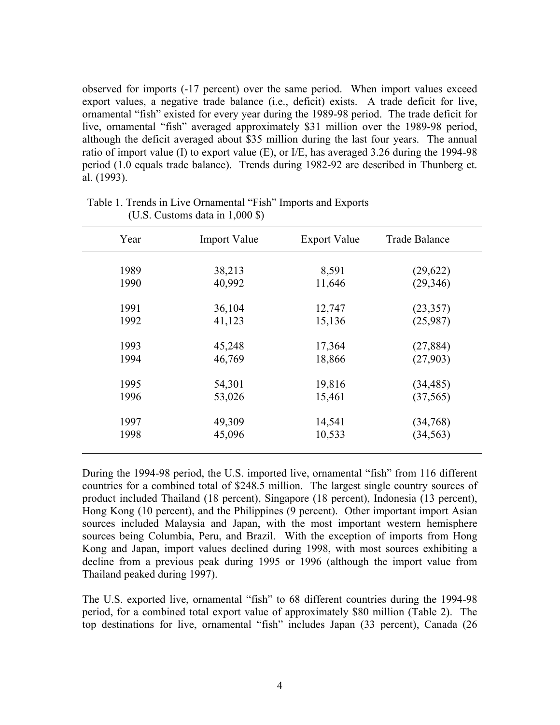observed for imports (-17 percent) over the same period. When import values exceed export values, a negative trade balance (i.e., deficit) exists. A trade deficit for live, ornamental "fish" existed for every year during the 1989-98 period. The trade deficit for live, ornamental "fish" averaged approximately \$31 million over the 1989-98 period, although the deficit averaged about \$35 million during the last four years. The annual ratio of import value (I) to export value (E), or I/E, has averaged 3.26 during the 1994-98 period (1.0 equals trade balance). Trends during 1982-92 are described in Thunberg et. al. (1993).

| Year | <b>Import Value</b> | <b>Export Value</b> | <b>Trade Balance</b> |
|------|---------------------|---------------------|----------------------|
|      |                     |                     |                      |
| 1989 | 38,213              | 8,591               | (29,622)             |
| 1990 | 40,992              | 11,646              | (29, 346)            |
| 1991 | 36,104              | 12,747              | (23, 357)            |
| 1992 | 41,123              | 15,136              | (25,987)             |
| 1993 | 45,248              | 17,364              | (27, 884)            |
| 1994 | 46,769              | 18,866              | (27,903)             |
| 1995 | 54,301              | 19,816              | (34, 485)            |
| 1996 | 53,026              | 15,461              | (37, 565)            |
| 1997 | 49,309              | 14,541              | (34,768)             |
| 1998 | 45,096              | 10,533              | (34, 563)            |
|      |                     |                     |                      |

| Table 1. Trends in Live Ornamental "Fish" Imports and Exports |  |
|---------------------------------------------------------------|--|
| (U.S. Customs data in $1,000$ \$)                             |  |

During the 1994-98 period, the U.S. imported live, ornamental "fish" from 116 different countries for a combined total of \$248.5 million. The largest single country sources of product included Thailand (18 percent), Singapore (18 percent), Indonesia (13 percent), Hong Kong (10 percent), and the Philippines (9 percent). Other important import Asian sources included Malaysia and Japan, with the most important western hemisphere sources being Columbia, Peru, and Brazil. With the exception of imports from Hong Kong and Japan, import values declined during 1998, with most sources exhibiting a decline from a previous peak during 1995 or 1996 (although the import value from Thailand peaked during 1997).

The U.S. exported live, ornamental "fish" to 68 different countries during the 1994-98 period, for a combined total export value of approximately \$80 million (Table 2). The top destinations for live, ornamental "fish" includes Japan (33 percent), Canada (26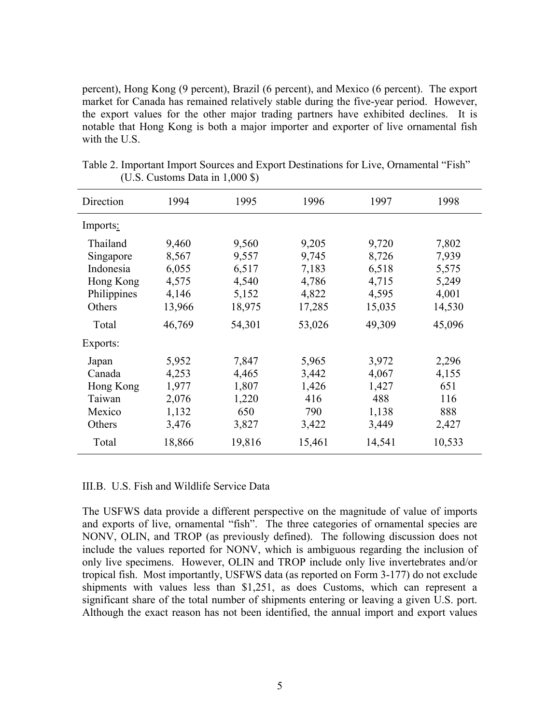percent), Hong Kong (9 percent), Brazil (6 percent), and Mexico (6 percent). The export market for Canada has remained relatively stable during the five-year period. However, the export values for the other major trading partners have exhibited declines. It is notable that Hong Kong is both a major importer and exporter of live ornamental fish with the U.S.

| Direction   | 1994   | 1995   | 1996   | 1997   | 1998   |
|-------------|--------|--------|--------|--------|--------|
| Imports:    |        |        |        |        |        |
| Thailand    | 9,460  | 9,560  | 9,205  | 9,720  | 7,802  |
| Singapore   | 8,567  | 9,557  | 9,745  | 8,726  | 7,939  |
| Indonesia   | 6,055  | 6,517  | 7,183  | 6,518  | 5,575  |
| Hong Kong   | 4,575  | 4,540  | 4,786  | 4,715  | 5,249  |
| Philippines | 4,146  | 5,152  | 4,822  | 4,595  | 4,001  |
| Others      | 13,966 | 18,975 | 17,285 | 15,035 | 14,530 |
| Total       | 46,769 | 54,301 | 53,026 | 49,309 | 45,096 |
| Exports:    |        |        |        |        |        |
| Japan       | 5,952  | 7,847  | 5,965  | 3,972  | 2,296  |
| Canada      | 4,253  | 4,465  | 3,442  | 4,067  | 4,155  |
| Hong Kong   | 1,977  | 1,807  | 1,426  | 1,427  | 651    |
| Taiwan      | 2,076  | 1,220  | 416    | 488    | 116    |
| Mexico      | 1,132  | 650    | 790    | 1,138  | 888    |
| Others      | 3,476  | 3,827  | 3,422  | 3,449  | 2,427  |
| Total       | 18,866 | 19,816 | 15,461 | 14,541 | 10,533 |

Table 2. Important Import Sources and Export Destinations for Live, Ornamental "Fish" (U.S. Customs Data in 1,000 \$)

#### III.B. U.S. Fish and Wildlife Service Data

The USFWS data provide a different perspective on the magnitude of value of imports and exports of live, ornamental "fish". The three categories of ornamental species are NONV, OLIN, and TROP (as previously defined). The following discussion does not include the values reported for NONV, which is ambiguous regarding the inclusion of only live specimens. However, OLIN and TROP include only live invertebrates and/or tropical fish. Most importantly, USFWS data (as reported on Form 3-177) do not exclude shipments with values less than \$1,251, as does Customs, which can represent a significant share of the total number of shipments entering or leaving a given U.S. port. Although the exact reason has not been identified, the annual import and export values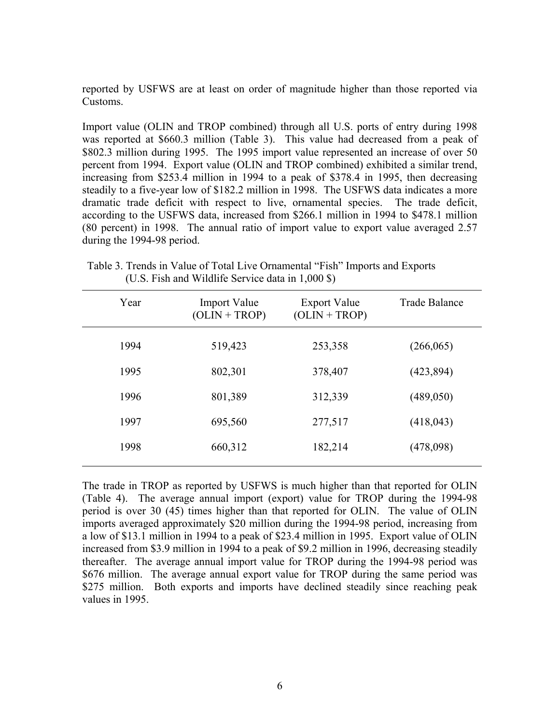reported by USFWS are at least on order of magnitude higher than those reported via Customs.

Import value (OLIN and TROP combined) through all U.S. ports of entry during 1998 was reported at \$660.3 million (Table 3). This value had decreased from a peak of \$802.3 million during 1995. The 1995 import value represented an increase of over 50 percent from 1994. Export value (OLIN and TROP combined) exhibited a similar trend, increasing from \$253.4 million in 1994 to a peak of \$378.4 in 1995, then decreasing steadily to a five-year low of \$182.2 million in 1998. The USFWS data indicates a more dramatic trade deficit with respect to live, ornamental species. The trade deficit, according to the USFWS data, increased from \$266.1 million in 1994 to \$478.1 million (80 percent) in 1998. The annual ratio of import value to export value averaged 2.57 during the 1994-98 period.

| Year | <b>Import Value</b><br>$(OLIN + TROP)$ | <b>Export Value</b><br>$(OLIN + TROP)$ | <b>Trade Balance</b> |
|------|----------------------------------------|----------------------------------------|----------------------|
| 1994 | 519,423                                | 253,358                                | (266, 065)           |
| 1995 | 802,301                                | 378,407                                | (423, 894)           |
| 1996 | 801,389                                | 312,339                                | (489, 050)           |
| 1997 | 695,560                                | 277,517                                | (418, 043)           |
| 1998 | 660,312                                | 182,214                                | (478,098)            |
|      |                                        |                                        |                      |

Table 3. Trends in Value of Total Live Ornamental "Fish" Imports and Exports (U.S. Fish and Wildlife Service data in 1,000 \$)

The trade in TROP as reported by USFWS is much higher than that reported for OLIN (Table 4). The average annual import (export) value for TROP during the 1994-98 period is over 30 (45) times higher than that reported for OLIN. The value of OLIN imports averaged approximately \$20 million during the 1994-98 period, increasing from a low of \$13.1 million in 1994 to a peak of \$23.4 million in 1995. Export value of OLIN increased from \$3.9 million in 1994 to a peak of \$9.2 million in 1996, decreasing steadily thereafter. The average annual import value for TROP during the 1994-98 period was \$676 million. The average annual export value for TROP during the same period was \$275 million. Both exports and imports have declined steadily since reaching peak values in 1995.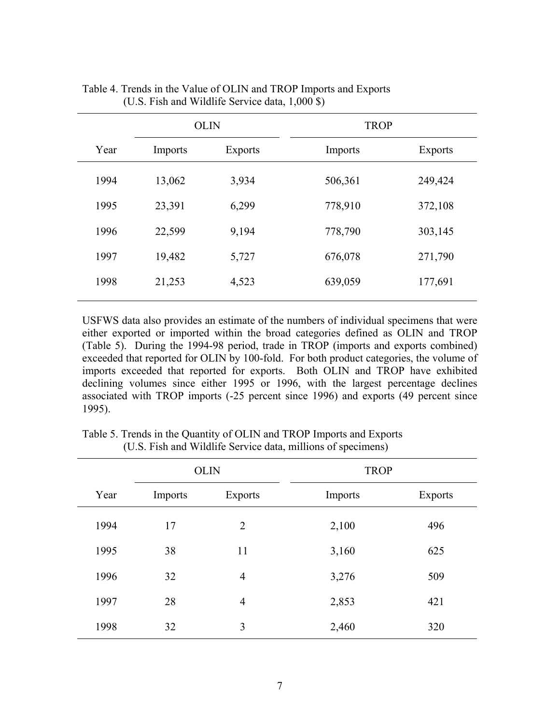|      |         | <b>OLIN</b>    | <b>TROP</b> |                |  |
|------|---------|----------------|-------------|----------------|--|
| Year | Imports | <b>Exports</b> | Imports     | <b>Exports</b> |  |
| 1994 | 13,062  | 3,934          | 506,361     | 249,424        |  |
| 1995 | 23,391  | 6,299          | 778,910     | 372,108        |  |
| 1996 | 22,599  | 9,194          | 778,790     | 303,145        |  |
| 1997 | 19,482  | 5,727          | 676,078     | 271,790        |  |
| 1998 | 21,253  | 4,523          | 639,059     | 177,691        |  |

| Table 4. Trends in the Value of OLIN and TROP Imports and Exports |
|-------------------------------------------------------------------|
| (U.S. Fish and Wildlife Service data, $1,000$ \$)                 |

USFWS data also provides an estimate of the numbers of individual specimens that were either exported or imported within the broad categories defined as OLIN and TROP (Table 5). During the 1994-98 period, trade in TROP (imports and exports combined) exceeded that reported for OLIN by 100-fold. For both product categories, the volume of imports exceeded that reported for exports. Both OLIN and TROP have exhibited declining volumes since either 1995 or 1996, with the largest percentage declines associated with TROP imports (-25 percent since 1996) and exports (49 percent since 1995).

|      |         | <b>OLIN</b>    | <b>TROP</b> |                |
|------|---------|----------------|-------------|----------------|
| Year | Imports | <b>Exports</b> | Imports     | <b>Exports</b> |
| 1994 | 17      | $\overline{2}$ | 2,100       | 496            |
| 1995 | 38      | 11             | 3,160       | 625            |
| 1996 | 32      | $\overline{4}$ | 3,276       | 509            |
| 1997 | 28      | $\overline{4}$ | 2,853       | 421            |
| 1998 | 32      | 3              | 2,460       | 320            |

Table 5. Trends in the Quantity of OLIN and TROP Imports and Exports (U.S. Fish and Wildlife Service data, millions of specimens)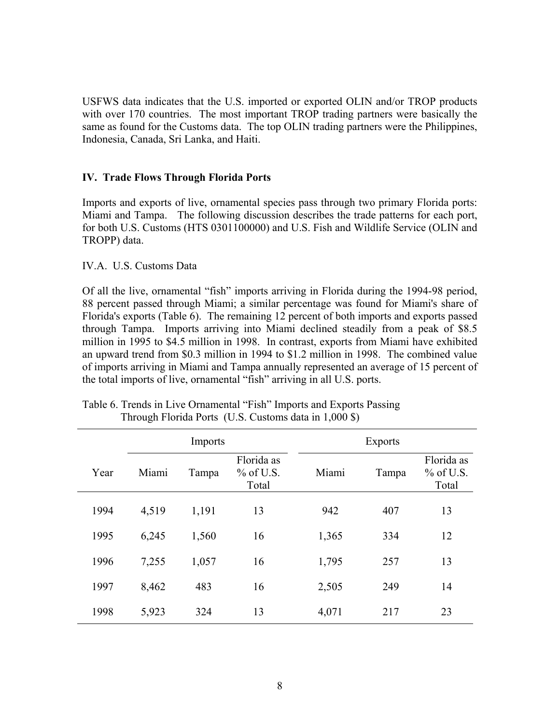USFWS data indicates that the U.S. imported or exported OLIN and/or TROP products with over 170 countries. The most important TROP trading partners were basically the same as found for the Customs data. The top OLIN trading partners were the Philippines, Indonesia, Canada, Sri Lanka, and Haiti.

## **IV. Trade Flows Through Florida Ports**

Imports and exports of live, ornamental species pass through two primary Florida ports: Miami and Tampa. The following discussion describes the trade patterns for each port, for both U.S. Customs (HTS 0301100000) and U.S. Fish and Wildlife Service (OLIN and TROPP) data.

## IV.A. U.S. Customs Data

Of all the live, ornamental "fish" imports arriving in Florida during the 1994-98 period, 88 percent passed through Miami; a similar percentage was found for Miami's share of Florida's exports (Table 6). The remaining 12 percent of both imports and exports passed through Tampa. Imports arriving into Miami declined steadily from a peak of \$8.5 million in 1995 to \$4.5 million in 1998. In contrast, exports from Miami have exhibited an upward trend from \$0.3 million in 1994 to \$1.2 million in 1998. The combined value of imports arriving in Miami and Tampa annually represented an average of 15 percent of the total imports of live, ornamental "fish" arriving in all U.S. ports.

| Imports |       |       | <b>Exports</b>                     |       |       |                                    |
|---------|-------|-------|------------------------------------|-------|-------|------------------------------------|
| Year    | Miami | Tampa | Florida as<br>$%$ of U.S.<br>Total | Miami | Tampa | Florida as<br>$%$ of U.S.<br>Total |
| 1994    | 4,519 | 1,191 | 13                                 | 942   | 407   | 13                                 |
| 1995    | 6,245 | 1,560 | 16                                 | 1,365 | 334   | 12                                 |
| 1996    | 7,255 | 1,057 | 16                                 | 1,795 | 257   | 13                                 |
| 1997    | 8,462 | 483   | 16                                 | 2,505 | 249   | 14                                 |
| 1998    | 5,923 | 324   | 13                                 | 4,071 | 217   | 23                                 |

Table 6. Trends in Live Ornamental "Fish" Imports and Exports Passing Through Florida Ports (U.S. Customs data in 1,000 \$)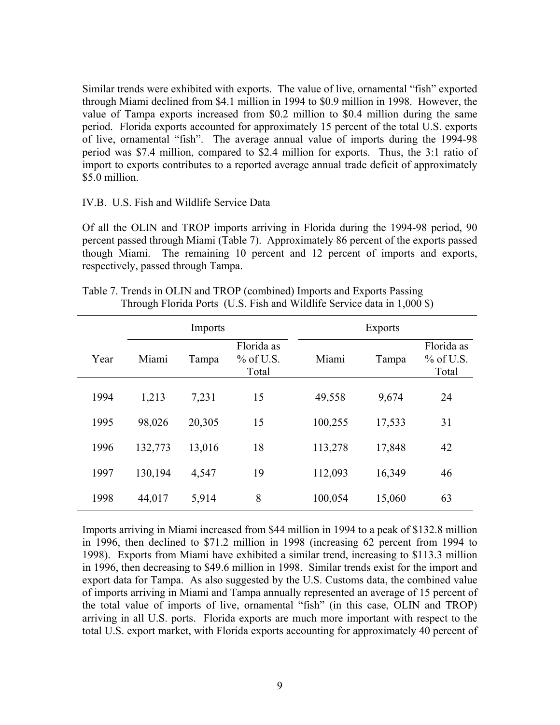Similar trends were exhibited with exports. The value of live, ornamental "fish" exported through Miami declined from \$4.1 million in 1994 to \$0.9 million in 1998. However, the value of Tampa exports increased from \$0.2 million to \$0.4 million during the same period. Florida exports accounted for approximately 15 percent of the total U.S. exports of live, ornamental "fish". The average annual value of imports during the 1994-98 period was \$7.4 million, compared to \$2.4 million for exports. Thus, the 3:1 ratio of import to exports contributes to a reported average annual trade deficit of approximately \$5.0 million.

#### IV.B. U.S. Fish and Wildlife Service Data

Of all the OLIN and TROP imports arriving in Florida during the 1994-98 period, 90 percent passed through Miami (Table 7). Approximately 86 percent of the exports passed though Miami. The remaining 10 percent and 12 percent of imports and exports, respectively, passed through Tampa.

| Imports |         |        | <b>Exports</b>                     |         |        |                                    |
|---------|---------|--------|------------------------------------|---------|--------|------------------------------------|
| Year    | Miami   | Tampa  | Florida as<br>$%$ of U.S.<br>Total | Miami   | Tampa  | Florida as<br>$%$ of U.S.<br>Total |
| 1994    | 1,213   | 7,231  | 15                                 | 49,558  | 9,674  | 24                                 |
| 1995    | 98,026  | 20,305 | 15                                 | 100,255 | 17,533 | 31                                 |
| 1996    | 132,773 | 13,016 | 18                                 | 113,278 | 17,848 | 42                                 |
| 1997    | 130,194 | 4,547  | 19                                 | 112,093 | 16,349 | 46                                 |
| 1998    | 44,017  | 5,914  | 8                                  | 100,054 | 15,060 | 63                                 |

Table 7. Trends in OLIN and TROP (combined) Imports and Exports Passing Through Florida Ports (U.S. Fish and Wildlife Service data in 1,000 \$)

Imports arriving in Miami increased from \$44 million in 1994 to a peak of \$132.8 million in 1996, then declined to \$71.2 million in 1998 (increasing 62 percent from 1994 to 1998). Exports from Miami have exhibited a similar trend, increasing to \$113.3 million in 1996, then decreasing to \$49.6 million in 1998. Similar trends exist for the import and export data for Tampa. As also suggested by the U.S. Customs data, the combined value of imports arriving in Miami and Tampa annually represented an average of 15 percent of the total value of imports of live, ornamental "fish" (in this case, OLIN and TROP) arriving in all U.S. ports. Florida exports are much more important with respect to the total U.S. export market, with Florida exports accounting for approximately 40 percent of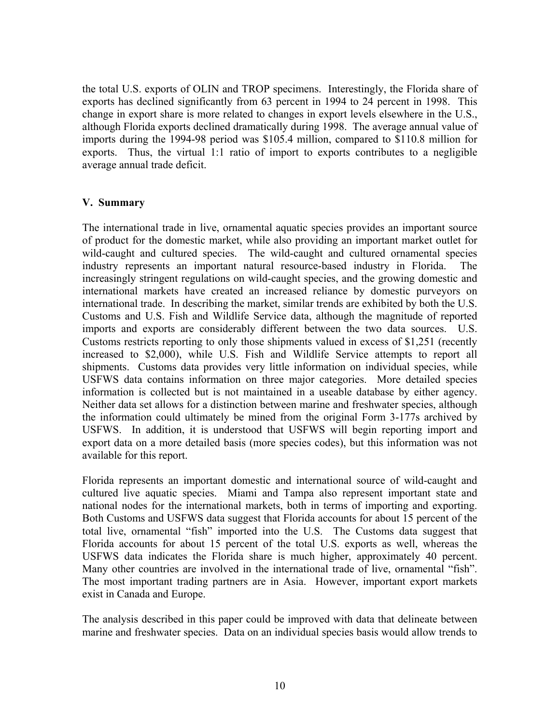the total U.S. exports of OLIN and TROP specimens. Interestingly, the Florida share of exports has declined significantly from 63 percent in 1994 to 24 percent in 1998. This change in export share is more related to changes in export levels elsewhere in the U.S., although Florida exports declined dramatically during 1998. The average annual value of imports during the 1994-98 period was \$105.4 million, compared to \$110.8 million for exports. Thus, the virtual 1:1 ratio of import to exports contributes to a negligible average annual trade deficit.

## **V. Summary**

The international trade in live, ornamental aquatic species provides an important source of product for the domestic market, while also providing an important market outlet for wild-caught and cultured species. The wild-caught and cultured ornamental species industry represents an important natural resource-based industry in Florida. The increasingly stringent regulations on wild-caught species, and the growing domestic and international markets have created an increased reliance by domestic purveyors on international trade. In describing the market, similar trends are exhibited by both the U.S. Customs and U.S. Fish and Wildlife Service data, although the magnitude of reported imports and exports are considerably different between the two data sources. U.S. Customs restricts reporting to only those shipments valued in excess of \$1,251 (recently increased to \$2,000), while U.S. Fish and Wildlife Service attempts to report all shipments. Customs data provides very little information on individual species, while USFWS data contains information on three major categories. More detailed species information is collected but is not maintained in a useable database by either agency. Neither data set allows for a distinction between marine and freshwater species, although the information could ultimately be mined from the original Form 3-177s archived by USFWS. In addition, it is understood that USFWS will begin reporting import and export data on a more detailed basis (more species codes), but this information was not available for this report.

Florida represents an important domestic and international source of wild-caught and cultured live aquatic species. Miami and Tampa also represent important state and national nodes for the international markets, both in terms of importing and exporting. Both Customs and USFWS data suggest that Florida accounts for about 15 percent of the total live, ornamental "fish" imported into the U.S. The Customs data suggest that Florida accounts for about 15 percent of the total U.S. exports as well, whereas the USFWS data indicates the Florida share is much higher, approximately 40 percent. Many other countries are involved in the international trade of live, ornamental "fish". The most important trading partners are in Asia. However, important export markets exist in Canada and Europe.

The analysis described in this paper could be improved with data that delineate between marine and freshwater species. Data on an individual species basis would allow trends to